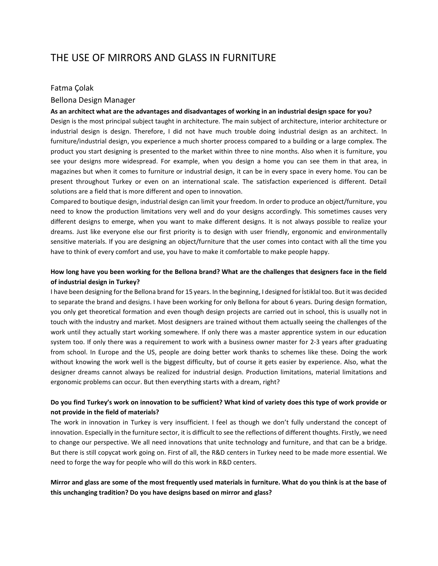# THE USE OF MIRRORS AND GLASS IN FURNITURE

#### Fatma Çolak

#### Bellona Design Manager

#### **As an architect what are the advantages and disadvantages of working in an industrial design space for you?**

Design is the most principal subject taught in architecture. The main subject of architecture, interior architecture or industrial design is design. Therefore, I did not have much trouble doing industrial design as an architect. In furniture/industrial design, you experience a much shorter process compared to a building or a large complex. The product you start designing is presented to the market within three to nine months. Also when it is furniture, you see your designs more widespread. For example, when you design a home you can see them in that area, in magazines but when it comes to furniture or industrial design, it can be in every space in every home. You can be present throughout Turkey or even on an international scale. The satisfaction experienced is different. Detail solutions are a field that is more different and open to innovation.

Compared to boutique design, industrial design can limit your freedom. In order to produce an object/furniture, you need to know the production limitations very well and do your designs accordingly. This sometimes causes very different designs to emerge, when you want to make different designs. It is not always possible to realize your dreams. Just like everyone else our first priority is to design with user friendly, ergonomic and environmentally sensitive materials. If you are designing an object/furniture that the user comes into contact with all the time you have to think of every comfort and use, you have to make it comfortable to make people happy.

# **How long have you been working for the Bellona brand? What are the challenges that designers face in the field of industrial design in Turkey?**

I have been designing for the Bellona brand for 15 years. In the beginning, I designed for İstiklal too. But it was decided to separate the brand and designs. I have been working for only Bellona for about 6 years. During design formation, you only get theoretical formation and even though design projects are carried out in school, this is usually not in touch with the industry and market. Most designers are trained without them actually seeing the challenges of the work until they actually start working somewhere. If only there was a master apprentice system in our education system too. If only there was a requirement to work with a business owner master for 2-3 years after graduating from school. In Europe and the US, people are doing better work thanks to schemes like these. Doing the work without knowing the work well is the biggest difficulty, but of course it gets easier by experience. Also, what the designer dreams cannot always be realized for industrial design. Production limitations, material limitations and ergonomic problems can occur. But then everything starts with a dream, right?

# **Do you find Turkey's work on innovation to be sufficient? What kind of variety does this type of work provide or not provide in the field of materials?**

The work in innovation in Turkey is very insufficient. I feel as though we don't fully understand the concept of innovation. Especially in the furniture sector, it is difficult to see the reflections of different thoughts. Firstly, we need to change our perspective. We all need innovations that unite technology and furniture, and that can be a bridge. But there is still copycat work going on. First of all, the R&D centers in Turkey need to be made more essential. We need to forge the way for people who will do this work in R&D centers.

#### **Mirror and glass are some of the most frequently used materials in furniture. What do you think is at the base of this unchanging tradition? Do you have designs based on mirror and glass?**